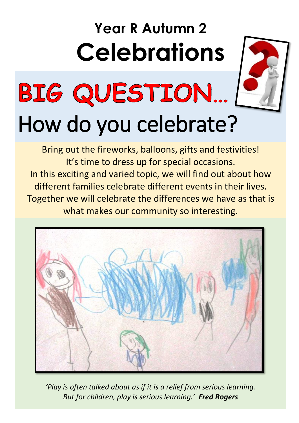### **Year R Autumn 2 Celebrations**



# BIG QUESTION...

## How do you celebrate?

Bring out the fireworks, balloons, gifts and festivities! It's time to dress up for special occasions. In this exciting and varied topic, we will find out about how different families celebrate different events in their lives. Together we will celebrate the differences we have as that is what makes our community so interesting.



*'Play is often talked about as if it is a relief from serious learning. But for children, play is serious learning.' Fred Rogers*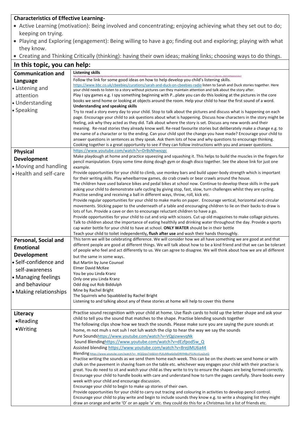#### **Characteristics of Effective Learning-**

- Active Learning (motivation): Being involved and concentrating; enjoying achieving what they set out to do; keeping on trying.
- Playing and Exploring (engagement): Being willing to have a go; finding out and exploring; playing with what they know.
- Creating and Thinking Critically (thinking): having their own ideas; making links; choosing ways to do things.

| In this topic, you can help: |                                                                                                                                                                                                                                                 |  |
|------------------------------|-------------------------------------------------------------------------------------------------------------------------------------------------------------------------------------------------------------------------------------------------|--|
| <b>Communication and</b>     | <b>Listening skills</b>                                                                                                                                                                                                                         |  |
| Language                     | Follow the link for some good ideas on how to help develop you child's listening skills.                                                                                                                                                        |  |
| • Listening and              | https://www.bbc.co.uk/cbeebies/curations/sarah-and-duck-on-cbeebies-radio listen to Sarah and Duck stories together. Here<br>your child needs to listen to a story without pictures can they maintain attention and talk about the story after. |  |
| attention                    | Play I spy games e.g. I spy something beginning with Pplate you can do this looking at the pictures in the core                                                                                                                                 |  |
| · Understanding              | books we send home or looking at objects around the room. Help your child to hear the first sound of a word.                                                                                                                                    |  |
| • Speaking                   | <b>Understanding and speaking skills</b><br>Try to read a story every day to your child. Stop to talk about the pictures and discuss what is happening on each                                                                                  |  |
|                              | page. Encourage your child to ask questions about what is happening. Discuss how characters in the story might be                                                                                                                               |  |
|                              | feeling, ask why they acted as they did. Talk about where the story is set. Discuss any new words and their                                                                                                                                     |  |
|                              | meaning. Re-read stories they already know well. Re-read favourite stories but deliberately make a change e.g. to<br>the name of a character or to the ending. Can your child spot the change you have made? Encourage your child to            |  |
|                              | answer questions in sentences as they speak. Ask them lots of how and why questions to encourage thinking.                                                                                                                                      |  |
|                              | Cooking together is a great opportunity to see if they can follow instructions with you and answer questions.                                                                                                                                   |  |
| <b>Physical</b>              | https://www.youtube.com/watch?v=DrBsNhwxzgc                                                                                                                                                                                                     |  |
| <b>Development</b>           | Make playdough at home and practice squeezing and squashing it. This helps to build the muscles in the fingers for<br>pencil manipulation. Enjoy some time doing dough gym or dough disco together. See the above link for just one             |  |
| • Moving and handling        | example.                                                                                                                                                                                                                                        |  |
| • Health and self-care       | Provide opportunities for your child to climb, use monkey bars and build upper-body strength which is important                                                                                                                                 |  |
|                              | for their writing skills. Play wheelbarrow games, do crab crawls or bear crawls around the house.<br>The children have used balance bikes and pedal bikes at school now. Continue to develop these skills in the park                           |  |
|                              | asking your child to demonstrate safe cycling by giving stop, fast, slow, turn challenges whilst they are cycling.                                                                                                                              |  |
|                              | Practise sending and receiving a ball in different ways, throw, roll, kick etc.                                                                                                                                                                 |  |
|                              | Provide regular opportunities for your child to make marks on paper. Encourage vertical, horizontal and circular<br>movements. Sticking paper to the underneath of a table and encouraging children to lie on their backs to draw is            |  |
|                              | lots of fun. Provide a cave or den to encourage reluctant children to have a go.                                                                                                                                                                |  |
|                              | Provide opportunities for your child to cut and snip with scissors. Cut up old magazines to make collage pictures.                                                                                                                              |  |
|                              | Talk to children about the importance of eating healthily and drinking water throughout the day. Provide a sports<br>cap water bottle for your child to have at school. ONLY WATER should be in their bottle                                    |  |
|                              | Teach your child to toilet independently, flush after use and wash their hands thoroughly.                                                                                                                                                      |  |
| Personal, Social and         | This term we will be celebrating difference. We will consider how we all have something we are good at and that                                                                                                                                 |  |
| <b>Emotional</b>             | different people are good at different things. We will talk about how to be a kind friend and that we can be tolerant<br>of people who feel and act differently to us. We can agree to disagree. We will think about how we are all different   |  |
| <b>Development</b>           | but the same in some ways.                                                                                                                                                                                                                      |  |
| • Self-confidence and        | But Martin by June Counsel                                                                                                                                                                                                                      |  |
| self-awareness               | <b>Elmer David McKee</b>                                                                                                                                                                                                                        |  |
| • Managing feelings          | You be you Linda Kranz<br>Only one you Linda Kranz                                                                                                                                                                                              |  |
| and behaviour                | Odd dog out Rob Biddulph                                                                                                                                                                                                                        |  |
| • Making relationships       | Mine by Rachel Bright                                                                                                                                                                                                                           |  |
|                              | The Squirrels who Squabbled by Rachel Bright<br>Listening to and talking about any of these stories at home will help to cover this theme                                                                                                       |  |
|                              |                                                                                                                                                                                                                                                 |  |
| Literacy                     | Practise sound recognition with your child at home. Use flash cards to hold up the letter shape and ask your                                                                                                                                    |  |
| •Reading                     | child to tell you the sound that matches to the shape. Practise blending sounds together                                                                                                                                                        |  |
| ·Writing                     | The following clips show how we teach the sounds. Please make sure you are saying the pure sounds at<br>home, m not muh s not suh I not luh watch the clip to hear the way we say the sounds                                                    |  |
|                              | Pure Soundshttps://www.youtube.com/watch?v=VQgizwwvqNk                                                                                                                                                                                          |  |
|                              | Sound Blendinghttps://www.youtube.com/watch?v=dEzfpod5w_Q                                                                                                                                                                                       |  |
|                              | Assisted blending https://www.youtube.com/watch?v=8rejiMU6a44                                                                                                                                                                                   |  |
|                              | Blending https://www.youtube.com/watch?v= HiQQrpx7vk&list=PLKuMkw6z0qlDRIYH8ccP1LNcrJLzq2utQ<br>Practise writing the sounds as we send them home each week. This can be on the sheets we send home or with                                      |  |
|                              | chalk on the pavement in shaving foam on the table etc. whichever way engages your child with their practise is                                                                                                                                 |  |
|                              | great. You do need to sit and watch your child as they write to try to ensure the shapes are being formed correctly.                                                                                                                            |  |
|                              | Encourage your child to handle books with care and understand how to turn the pages carefully. Share books every<br>week with your child and encourage discussion.                                                                              |  |
|                              | Encourage your child to begin to make up stories of their own.                                                                                                                                                                                  |  |
|                              | Provide opportunities for your child to carry out tracing and colouring in activities to develop pencil control.                                                                                                                                |  |
|                              | Encourage your child to play write and begin to include sounds they know e.g. to write a shopping list they might<br>draw an orange and write 'O' or an apple 'a' etc. they could do this for a Christmas list a list of friends etc.           |  |
|                              |                                                                                                                                                                                                                                                 |  |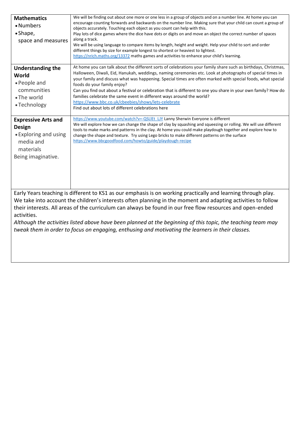| <b>Mathematics</b><br>• Numbers<br>• Shape,<br>space and measures                                                                                                                                                                                                                                                                                                                                                                                                                                                                                                               | We will be finding out about one more or one less in a group of objects and on a number line. At home you can<br>encourage counting forwards and backwards on the number line. Making sure that your child can count a group of<br>objects accurately. Touching each object as you count can help with this.<br>Play lots of dice games where the dice have dots or digits on and move an object the correct number of spaces<br>along a track.<br>We will be using language to compare items by length, height and weight. Help your child to sort and order<br>different things by size for example longest to shortest or heaviest to lightest.<br>https://nrich.maths.org/13372 maths games and activities to enhance your child's learning. |
|---------------------------------------------------------------------------------------------------------------------------------------------------------------------------------------------------------------------------------------------------------------------------------------------------------------------------------------------------------------------------------------------------------------------------------------------------------------------------------------------------------------------------------------------------------------------------------|--------------------------------------------------------------------------------------------------------------------------------------------------------------------------------------------------------------------------------------------------------------------------------------------------------------------------------------------------------------------------------------------------------------------------------------------------------------------------------------------------------------------------------------------------------------------------------------------------------------------------------------------------------------------------------------------------------------------------------------------------|
| <b>Understanding the</b><br>World<br>• People and<br>communities<br>• The world<br>• Technology                                                                                                                                                                                                                                                                                                                                                                                                                                                                                 | At home you can talk about the different sorts of celebrations your family share such as birthdays, Christmas,<br>Halloween, Diwali, Eid, Hanukah, weddings, naming ceremonies etc. Look at photographs of special times in<br>your family and discuss what was happening. Special times are often marked with special foods, what special<br>foods do your family enjoy?<br>Can you find out about a festival or celebration that is different to one you share in your own family? How do<br>families celebrate the same event in different ways around the world?<br>https://www.bbc.co.uk/cbeebies/shows/lets-celebrate<br>Find out about lots of different celebrations here                                                                |
| <b>Expressive Arts and</b><br><b>Design</b><br>• Exploring and using<br>media and<br>materials<br>Being imaginative.                                                                                                                                                                                                                                                                                                                                                                                                                                                            | https://www.youtube.com/watch?v=-QSLIEt_LJY Lanny Sherwin Everyone is different<br>We will explore how we can change the shape of clay by squashing and squeezing or rolling. We will use different<br>tools to make marks and patterns in the clay. At home you could make playdough together and explore how to<br>change the shape and texture. Try using Lego bricks to make different patterns on the surface<br>https://www.bbcgoodfood.com/howto/guide/playdough-recipe                                                                                                                                                                                                                                                                   |
| Early Years teaching is different to KS1 as our emphasis is on working practically and learning through play.<br>We take into account the children's interests often planning in the moment and adapting activities to follow<br>their interests. All areas of the curriculum can always be found in our free flow resources and open-ended<br>activities.<br>Although the activities listed above have been planned at the beginning of this topic, the teaching team may<br>tweak them in order to focus on engaging, enthusing and motivating the learners in their classes. |                                                                                                                                                                                                                                                                                                                                                                                                                                                                                                                                                                                                                                                                                                                                                  |